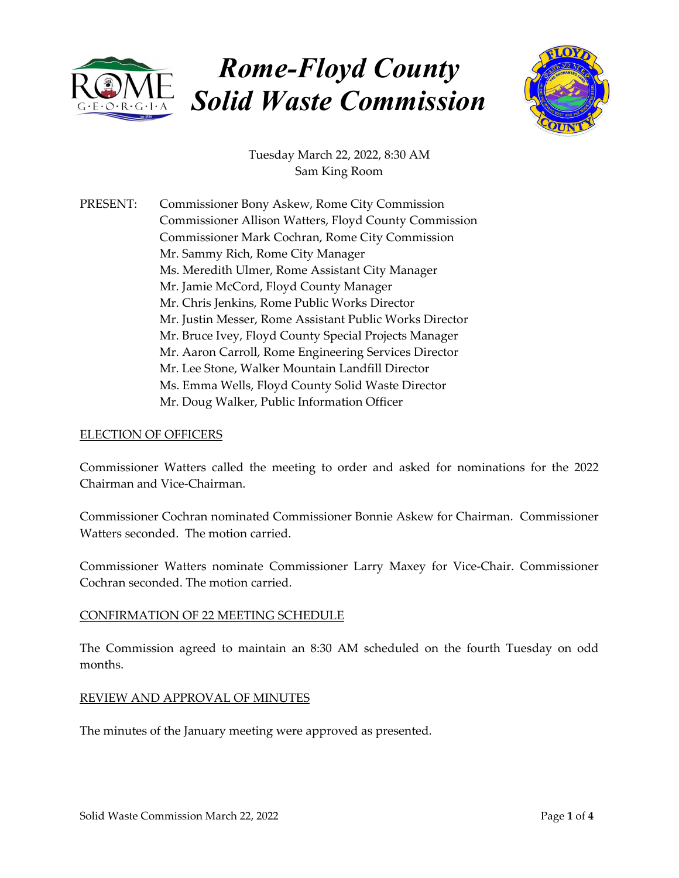

# *Rome-Floyd County Solid Waste Commission*



Tuesday March 22, 2022, 8:30 AM Sam King Room

PRESENT: Commissioner Bony Askew, Rome City Commission Commissioner Allison Watters, Floyd County Commission Commissioner Mark Cochran, Rome City Commission Mr. Sammy Rich, Rome City Manager Ms. Meredith Ulmer, Rome Assistant City Manager Mr. Jamie McCord, Floyd County Manager Mr. Chris Jenkins, Rome Public Works Director Mr. Justin Messer, Rome Assistant Public Works Director Mr. Bruce Ivey, Floyd County Special Projects Manager Mr. Aaron Carroll, Rome Engineering Services Director Mr. Lee Stone, Walker Mountain Landfill Director Ms. Emma Wells, Floyd County Solid Waste Director Mr. Doug Walker, Public Information Officer

## ELECTION OF OFFICERS

Commissioner Watters called the meeting to order and asked for nominations for the 2022 Chairman and Vice‐Chairman.

Commissioner Cochran nominated Commissioner Bonnie Askew for Chairman. Commissioner Watters seconded. The motion carried.

Commissioner Watters nominate Commissioner Larry Maxey for Vice‐Chair. Commissioner Cochran seconded. The motion carried.

## CONFIRMATION OF 22 MEETING SCHEDULE

The Commission agreed to maintain an 8:30 AM scheduled on the fourth Tuesday on odd months.

#### REVIEW AND APPROVAL OF MINUTES

The minutes of the January meeting were approved as presented.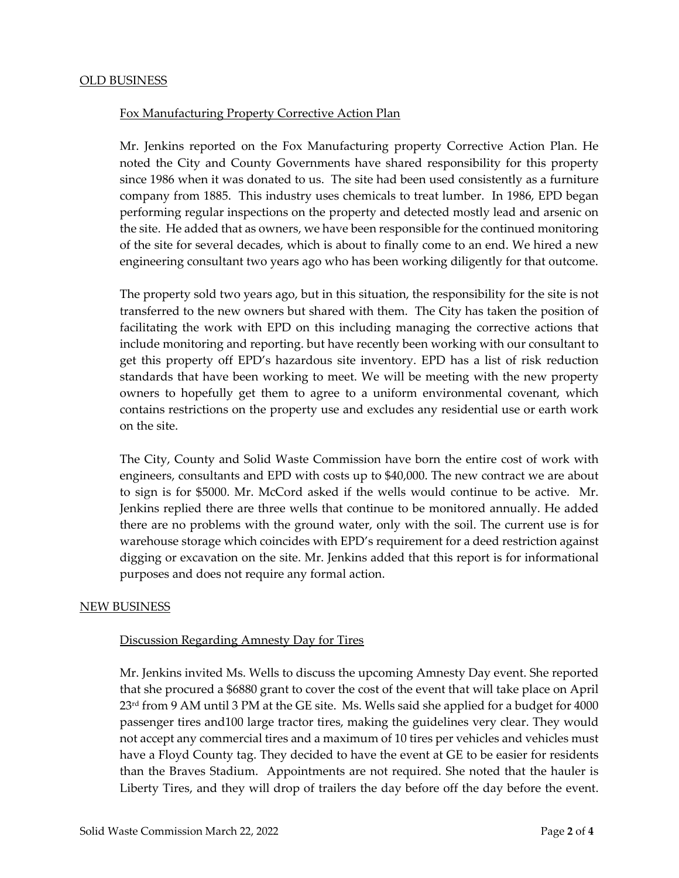## Fox Manufacturing Property Corrective Action Plan

Mr. Jenkins reported on the Fox Manufacturing property Corrective Action Plan. He noted the City and County Governments have shared responsibility for this property since 1986 when it was donated to us. The site had been used consistently as a furniture company from 1885. This industry uses chemicals to treat lumber. In 1986, EPD began performing regular inspections on the property and detected mostly lead and arsenic on the site. He added that as owners, we have been responsible for the continued monitoring of the site for several decades, which is about to finally come to an end. We hired a new engineering consultant two years ago who has been working diligently for that outcome.

The property sold two years ago, but in this situation, the responsibility for the site is not transferred to the new owners but shared with them. The City has taken the position of facilitating the work with EPD on this including managing the corrective actions that include monitoring and reporting. but have recently been working with our consultant to get this property off EPD's hazardous site inventory. EPD has a list of risk reduction standards that have been working to meet. We will be meeting with the new property owners to hopefully get them to agree to a uniform environmental covenant, which contains restrictions on the property use and excludes any residential use or earth work on the site.

The City, County and Solid Waste Commission have born the entire cost of work with engineers, consultants and EPD with costs up to \$40,000. The new contract we are about to sign is for \$5000. Mr. McCord asked if the wells would continue to be active. Mr. Jenkins replied there are three wells that continue to be monitored annually. He added there are no problems with the ground water, only with the soil. The current use is for warehouse storage which coincides with EPD's requirement for a deed restriction against digging or excavation on the site. Mr. Jenkins added that this report is for informational purposes and does not require any formal action.

#### NEW BUSINESS

#### Discussion Regarding Amnesty Day for Tires

Mr. Jenkins invited Ms. Wells to discuss the upcoming Amnesty Day event. She reported that she procured a \$6880 grant to cover the cost of the event that will take place on April 23<sup>rd</sup> from 9 AM until 3 PM at the GE site. Ms. Wells said she applied for a budget for 4000 passenger tires and100 large tractor tires, making the guidelines very clear. They would not accept any commercial tires and a maximum of 10 tires per vehicles and vehicles must have a Floyd County tag. They decided to have the event at GE to be easier for residents than the Braves Stadium. Appointments are not required. She noted that the hauler is Liberty Tires, and they will drop of trailers the day before off the day before the event.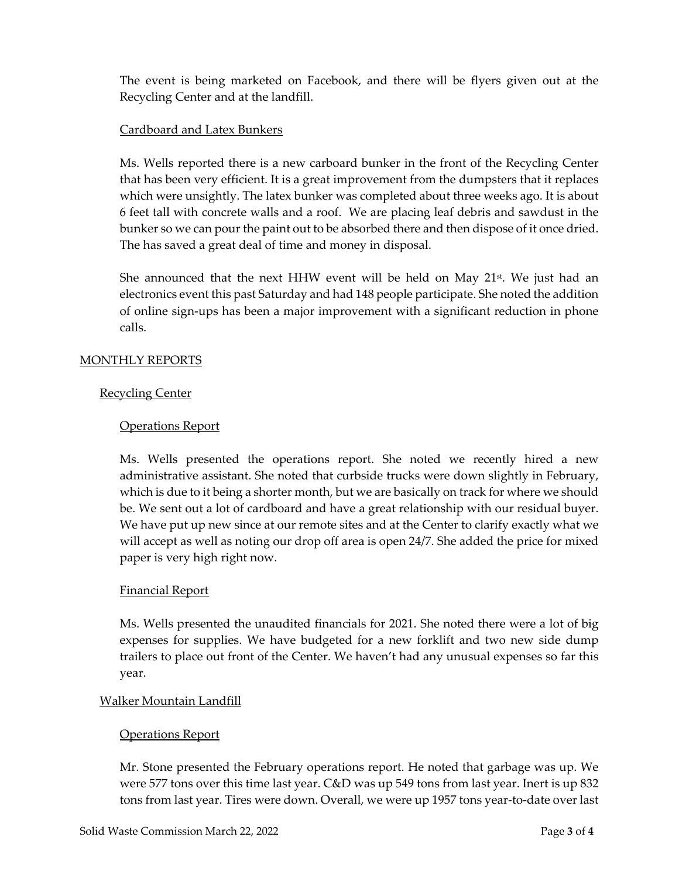The event is being marketed on Facebook, and there will be flyers given out at the Recycling Center and at the landfill.

# Cardboard and Latex Bunkers

Ms. Wells reported there is a new carboard bunker in the front of the Recycling Center that has been very efficient. It is a great improvement from the dumpsters that it replaces which were unsightly. The latex bunker was completed about three weeks ago. It is about 6 feet tall with concrete walls and a roof. We are placing leaf debris and sawdust in the bunker so we can pour the paint out to be absorbed there and then dispose of it once dried. The has saved a great deal of time and money in disposal.

She announced that the next HHW event will be held on May  $21^{st}$ . We just had an electronics event this past Saturday and had 148 people participate. She noted the addition of online sign‐ups has been a major improvement with a significant reduction in phone calls.

# MONTHLY REPORTS

# Recycling Center

# Operations Report

Ms. Wells presented the operations report. She noted we recently hired a new administrative assistant. She noted that curbside trucks were down slightly in February, which is due to it being a shorter month, but we are basically on track for where we should be. We sent out a lot of cardboard and have a great relationship with our residual buyer. We have put up new since at our remote sites and at the Center to clarify exactly what we will accept as well as noting our drop off area is open 24/7. She added the price for mixed paper is very high right now.

## Financial Report

Ms. Wells presented the unaudited financials for 2021. She noted there were a lot of big expenses for supplies. We have budgeted for a new forklift and two new side dump trailers to place out front of the Center. We haven't had any unusual expenses so far this year.

## Walker Mountain Landfill

## Operations Report

Mr. Stone presented the February operations report. He noted that garbage was up. We were 577 tons over this time last year. C&D was up 549 tons from last year. Inert is up 832 tons from last year. Tires were down. Overall, we were up 1957 tons year-to-date over last